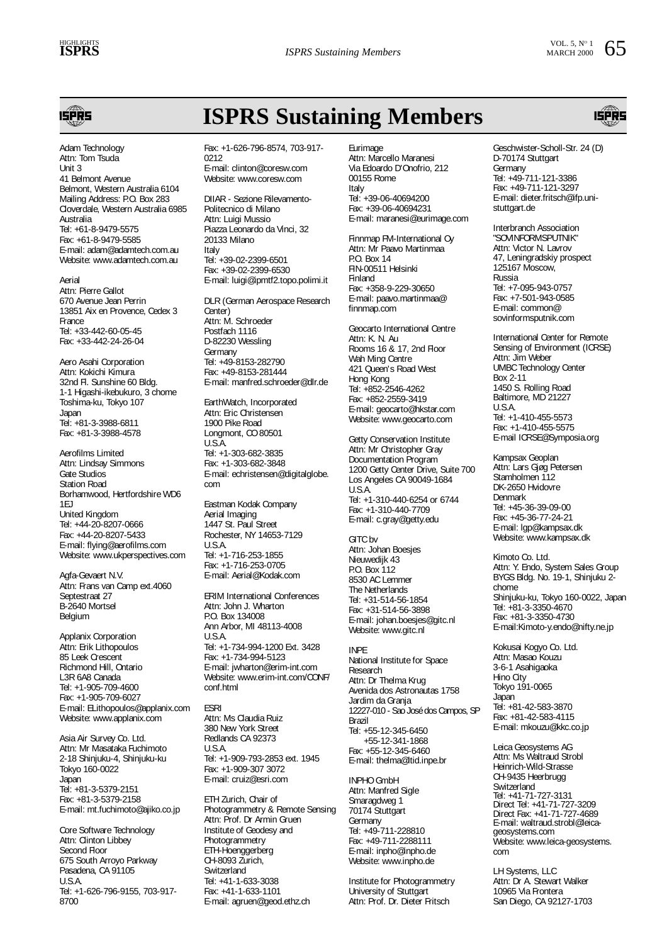**ISPRS Sustaining Members**



Adam Technology Attn: Tom Tsuda Unit 3 41 Belmont Avenue Belmont, Western Australia 6104 Mailing Address: P.O. Box 283 Cloverdale, Western Australia 6985 Australia Tel: +61-8-9479-5575 Fax: +61-8-9479-5585 E-mail: adam@adamtech.com.au Website: www.adamtech.com.au

Aerial Attn: Pierre Gallot 670 Avenue Jean Perrin 13851 Aix en Provence, Cedex 3 France Tel: +33-442-60-05-45 Fax: +33-442-24-26-04

Aero Asahi Corporation Attn: Kokichi Kimura 32nd Fl. Sunshine 60 Bldg. 1-1 Higashi-ikebukuro, 3 chome Toshima-ku, Tokyo 107 Japan Tel: +81-3-3988-6811 Fax: +81-3-3988-4578

Aerofilms Limited Attn: Lindsay Simmons Gate Studios Station Road Borhamwood, Hertfordshire WD6 1EJ United Kingdom Tel: +44-20-8207-0666 Fax: +44-20-8207-5433 E-mail: flying@aerofilms.com Website: www.ukperspectives.com

Agfa-Gevaert N.V. Attn: Frans van Camp ext.4060 Septestraat 27 B-2640 Mortsel Belgium

Applanix Corporation Attn: Erik Lithopoulos 85 Leek Crescent Richmond Hill, Ontario L3R 6A8 Canada Tel: +1-905-709-4600 Fax: +1-905-709-6027 E-mail: ELithopoulos@applanix.com Website: www.applanix.com

Asia Air Survey Co. Ltd. Attn: Mr Masataka Fuchimoto 2-18 Shinjuku-4, Shinjuku-ku Tokyo 160-0022 Japan Tel: +81-3-5379-2151 Fax: +81-3-5379-2158 E-mail: mt.fuchimoto@ajiko.co.jp

Core Software Technology Attn: Clinton Libbey Second Floor 675 South Arroyo Parkway Pasadena, CA 91105 U.S.A. Tel: +1-626-796-9155, 703-917- 8700

Fax: +1-626-796-8574, 703-917- 0212 E-mail: clinton@coresw.com Website: www.coresw.com

DIIAR - Sezione Rilevamento-Politecnico di Milano Attn: Luigi Mussio Piazza Leonardo da Vinci, 32 20133 Milano Italy Tel: +39-02-2399-6501 Fax: +39-02-2399-6530 E-mail: luigi@ipmtf2.topo.polimi.it

DLR (German Aerospace Research Center) Attn: M. Schroeder Postfach 1116 D-82230 Wessling Germany Tel: +49-8153-282790 Fax: +49-8153-281444 E-mail: manfred.schroeder@dlr.de

EarthWatch, Incorporated Attn: Eric Christensen 1900 Pike Road Longmont, CO 80501 U.S.A. Tel: +1-303-682-3835 Fax: +1-303-682-3848 E-mail: echristensen@digitalglobe. com Eastman Kodak Company Aerial Imaging

1447 St. Paul Street Rochester, NY 14653-7129 U.S.A. Tel: +1-716-253-1855 Fax: +1-716-253-0705 E-mail: Aerial@Kodak.com

ERIM International Conferences Attn: John J. Wharton P.O. Box 134008 Ann Arbor, MI 48113-4008 U.S.A. Tel: +1-734-994-1200 Ext. 3428 Fax: +1-734-994-5123 E-mail: jwharton@erim-int.com Website: www.erim-int.com/CONF/ conf.html

ESRI Attn: Ms Claudia Ruiz 380 New York Street Redlands CA 92373 U.S.A. Tel: +1-909-793-2853 ext. 1945 Fax: +1-909-307 3072 E-mail: cruiz@esri.com

ETH Zurich, Chair of Photogrammetry & Remote Sensing Attn: Prof. Dr Armin Gruen Institute of Geodesy and Photogrammetry ETH-Hoenggerberg CH-8093 Zurich, Switzerland Tel: +41-1-633-3038 Fax: +41-1-633-1101 E-mail: agruen@geod.ethz.ch

Eurimage Attn: Marcello Maranesi Via Edoardo D'Onofrio, 212 00155 Rome Italy Tel: +39-06-40694200 Fax: +39-06-40694231 E-mail: maranesi@eurimage.com

Finnmap FM-International Oy Attn: Mr Paavo Martinmaa P.O. Box 14 FIN-00511 Helsinki Finland Fax: +358-9-229-30650 E-mail: paavo.martinmaa@ finnmap.com

Geocarto International Centre Attn: K. N. Au Rooms 16 & 17, 2nd Floor Wah Ming Centre 421 Queen's Road West Hong Kong Tel: +852-2546-4262 Fax: +852-2559-3419 E-mail: geocarto@hkstar.com Website: www.geocarto.com

Getty Conservation Institute Attn: Mr Christopher Gray Documentation Program 1200 Getty Center Drive, Suite 700 Los Angeles CA 90049-1684 U.S.A. Tel: +1-310-440-6254 or 6744 Fax: +1-310-440-7709 E-mail: c.gray@getty.edu

GITC bv Attn: Johan Boesjes Nieuwedijk 43 P.O. Box 112 8530 AC Lemmer The Netherlands Tel: +31-514-56-1854 Fax: +31-514-56-3898 E-mail: johan.boesjes@gitc.nl Website: www.gitc.nl

INPE National Institute for Space Research Attn: Dr Thelma Krug Avenida dos Astronautas 1758 Jardim da Granja 12227-010 - Sao José dos Campos, SP Brazil Tel: +55-12-345-6450 +55-12-341-1868 Fax: +55-12-345-6460 E-mail: thelma@ltid.inpe.br

INPHO GmbH Attn: Manfred Sigle Smaragdweg 1 70174 Stuttgart **Germany** Tel: +49-711-228810 Fax: +49-711-2288111 E-mail: inpho@inpho.de Website: www.inpho.de

Institute for Photogrammetry University of Stuttgart Attn: Prof. Dr. Dieter Fritsch

Geschwister-Scholl-Str. 24 (D) D-70174 Stuttgart Germany Tel: +49-711-121-3386 Fax: +49-711-121-3297 E-mail: dieter.fritsch@ifp.unistuttgart.de

Interbranch Association "SOVINFORMSPUTNIK" Attn: Victor N. Lavrov 47, Leningradskiy prospect 125167 Moscow, Russia Tel: +7-095-943-0757 Fax: +7-501-943-0585 E-mail: common@ sovinformsputnik.com

International Center for Remote Sensing of Environment (ICRSE) Attn: Jim Weber UMBC Technology Center Box 2-11 1450 S. Rolling Road Baltimore, MD 21227 U.S.A. Tel: +1-410-455-5573 Fax: +1-410-455-5575 E-mail ICRSE@Symposia.org

Kampsax Geoplan Attn: Lars Gjøg Petersen Stamholmen 112 DK-2650 Hvidovre Denmark Tel: +45-36-39-09-00 Fax: +45-36-77-24-21 E-mail: lgp@kampsax.dk Website: www.kampsax.dk

Kimoto Co. Ltd. Attn: Y. Endo, System Sales Group BYGS Bldg. No. 19-1, Shinjuku 2 chome Shinjuku-ku, Tokyo 160-0022, Japan Tel: +81-3-3350-4670 Fax: +81-3-3350-4730 E-mail:Kimoto-y.endo@nifty.ne.jp

Kokusai Kogyo Co. Ltd. Attn: Masao Kouzu 3-6-1 Asahigaoka Hino City Tokyo 191-0065 Japan Tel: +81-42-583-3870 Fax: +81-42-583-4115 E-mail: mkouzu@kkc.co.jp

Leica Geosystems AG Attn: Ms Waltraud Strobl Heinrich-Wild-Strasse CH-9435 Heerbrugg Switzerland Tel: +41-71-727-3131 Direct Tel: +41-71-727-3209 Direct Fax: +41-71-727-4689 E-mail: waltraud.strobl@leicageosystems.com Website: www.leica-geosystems. com

LH Systems, LLC Attn: Dr A. Stewart Walker 10965 Via Frontera San Diego, CA 92127-1703

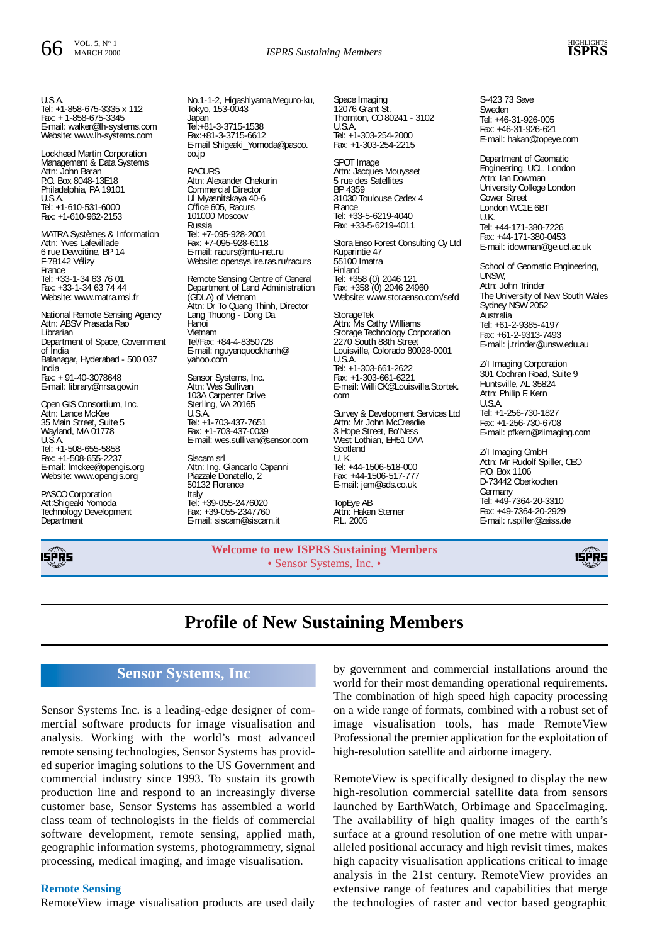

U.S.A. Tel: +1-858-675-3335 x 112 Fax: + 1-858-675-3345 E-mail: walker@lh-systems.com Website: www.lh-systems.com

Lockheed Martin Corporation Management & Data Systems Attn: John Baran P.O. Box 8048-13E18 Philadelphia, PA 19101 U.S.A. Tel: +1-610-531-6000 Fax: +1-610-962-2153

MATRA Systèmes & Information Attn: Yves Lafevillade 6 rue Dewoitine, BP 14 F-78142 Vélizy France Tel: +33-1-34 63 76 01 Fax: +33-1-34 63 74 44 Website: www.matra.msi.fr

National Remote Sensing Agency Attn: ABSV Prasada Rao Librarian Department of Space, Government of India Balanagar, Hyderabad - 500 037 India Fax: + 91-40-3078648 E-mail: library@nrsa.gov.in

Open GIS Consortium, Inc. Attn: Lance McKee 35 Main Street, Suite 5 Wayland, MA 01778 U.S.A. Tel: +1-508-655-5858 Fax: +1-508-655-2237 E-mail: lmckee@opengis.org Website: www.opengis.org

PASCO Corporation Att:Shigeaki Yomoda Technology Development **Department** 



No.1-1-2, Higashiyama,Meguro-ku, Tokyo, 153-0043 Japan Tel:+81-3-3715-1538 Fax:+81-3-3715-6612 E-mail Shigeaki\_Yomoda@pasco. co.jp **RACURS** Attn: Alexander Chekurin Commercial Director Ul Myasnitskaya 40-6 Office 605, Racurs 101000 Moscow Russia Tel: +7-095-928-2001 Fax: +7-095-928-6118 E-mail: racurs@mtu-net.ru Website: opensys.ire.ras.ru/racurs

Remote Sensing Centre of General Department of Land Administration (GDLA) of Vietnam Attn: Dr To Quang Thinh, Director Lang Thuong - Dong Da Hanoi Vietnam Tel/Fax: +84-4-8350728 E-mail: nguyenquockhanh@ yahoo.com

Sensor Systems, Inc. Attn: Wes Sullivan 103A Carpenter Drive Sterling, VA 20165 U.S.A. Tel: +1-703-437-7651 Fax: +1-703-437-0039 E-mail: wes.sullivan@sensor.com

Siscam srl Attn: Ing. Giancarlo Capanni Piazzale Donatello, 2 50132 Florence Italy

Tel: +39-055-2476020 Fax: +39-055-2347760 E-mail: siscam@siscam.it

Space Imaging 12076 Grant St. Thornton, CO 80241 - 3102 U.S.A. Tel: +1-303-254-2000 Fax: +1-303-254-2215

SPOT Image Attn: Jacques Mouysset 5 rue des Satellites BP 4359 31030 Toulouse Cedex 4 France Tel: +33-5-6219-4040 Fax: +33-5-6219-4011

Stora Enso Forest Consulting Oy Ltd Kuparintie 47 55100 Imatra Finland Tel: +358 (0) 2046 121 Fax: +358 (0) 2046 24960 Website: www.storaenso.com/sefd

**StorageTek** Attn: Ms Cathy Williams Storage Technology Corporation 2270 South 88th Street Louisville, Colorado 80028-0001 U.S.A. Tel: +1-303-661-2622 Fax: +1-303-661-6221 E-mail: WilliCK@Louisville.Stortek. com

Survey & Development Services Ltd Attn: Mr John McCreadie 3 Hope Street, Bo'Ness West Lothian, EH51 0AA Scotland U. K. Tel: +44-1506-518-000 Fax: +44-1506-517-777 E-mail: jem@sds.co.uk

TopEye AB Attn: Hakan Sterner P.L. 2005

**Welcome to new ISPRS Sustaining Members** • Sensor Systems, Inc. •

S-423 73 Save Sweden Tel: +46-31-926-005 Fax: +46-31-926-621 E-mail: hakan@topeye.com Department of Geomatic Engineering, UCL, London

Attn: Ian Dowman University College London Gower Street London WC1E 6BT U.K. Tel: +44-171-380-7226 Fax: +44-171-380-0453 E-mail: idowman@ge.ucl.ac.uk School of Geomatic Engineering,

UNSW, Attn: John Trinder The University of New South Wales Sydney NSW 2052 Australia Tel: +61-2-9385-4197 Fax: +61-2-9313-7493 E-mail: j.trinder@unsw.edu.au

Z/I Imaging Corporation 301 Cochran Road, Suite 9 Huntsville, AL 35824 Attn: Philip F. Kern U.S.A. Tel: +1-256-730-1827 Fax: +1-256-730-6708 E-mail: pfkern@ziimaging.com

Z/I Imaging GmbH Attn: Mr Rudolf Spiller, CEO P.O. Box 1106 D-73442 Oberkochen Germany Tel: +49-7364-20-3310 Fax: +49-7364-20-2929 E-mail: r.spiller@zeiss.de



## **Profile of New Sustaining Members**

## **Sensor Systems, Inc**

Sensor Systems Inc. is a leading-edge designer of commercial software products for image visualisation and analysis. Working with the world's most advanced remote sensing technologies, Sensor Systems has provided superior imaging solutions to the US Government and commercial industry since 1993. To sustain its growth production line and respond to an increasingly diverse customer base, Sensor Systems has assembled a world class team of technologists in the fields of commercial software development, remote sensing, applied math, geographic information systems, photogrammetry, signal processing, medical imaging, and image visualisation.

#### **Remote Sensing**

RemoteView image visualisation products are used daily

by government and commercial installations around the world for their most demanding operational requirements. The combination of high speed high capacity processing on a wide range of formats, combined with a robust set of image visualisation tools, has made RemoteView Professional the premier application for the exploitation of high-resolution satellite and airborne imagery.

RemoteView is specifically designed to display the new high-resolution commercial satellite data from sensors launched by EarthWatch, Orbimage and SpaceImaging. The availability of high quality images of the earth's surface at a ground resolution of one metre with unparalleled positional accuracy and high revisit times, makes high capacity visualisation applications critical to image analysis in the 21st century. RemoteView provides an extensive range of features and capabilities that merge the technologies of raster and vector based geographic